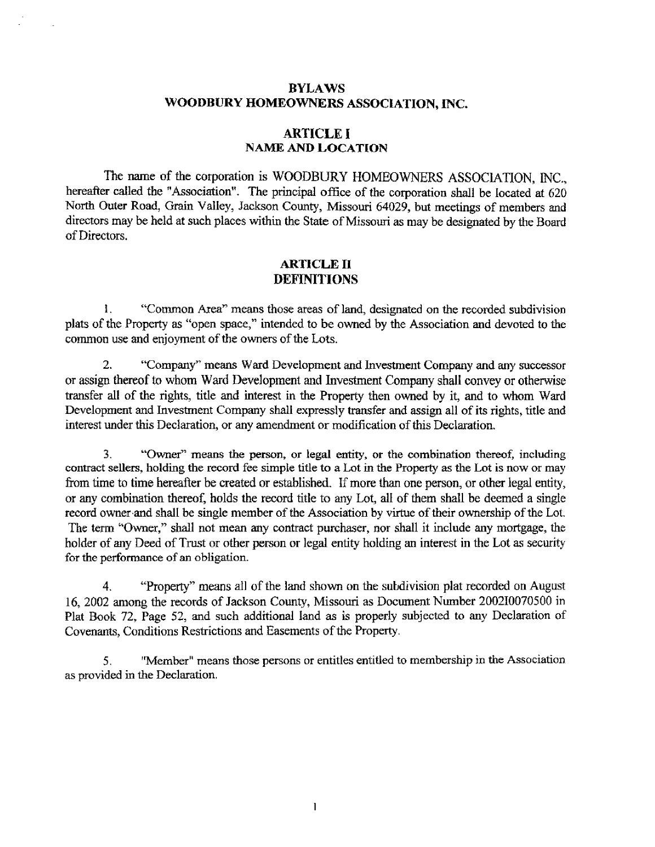# **BYLAWS WOODBURY HOMEOWNERS ASSOCLA'TION, INC.**

## **ARTICLE I NAME AND LOCATION**

The name **of** the **corporation is** WOODBURY HOMEOWNERS **ASSOCIATION,** NC., hereafter called the **"Association". The principal** office **of** the **corporation** shall be **located at** 620 North Outer **Road,** Grain VaIley, **Jackson** County, **Missouri** 64029, but meetings **of** members **and**  direaors **may be** held **at** such places within **the State** of Missouri **as may be designated by** the Board **of** Directors.

# **ARTICLE II DEFINITIONS**

**I.** "Common Areay' **means** those **areas of** land, **designated on** the recoded **subdivision plats** of **the** Property as "open space," intended to **be owned by** the **Association and** devoted **to the**  common use and enjoyment of the owners of the Lots.

2. **"Company" means Ward Development** and **Investment Company and** any **successor**  or assign thereof **to** whom Ward Development and Investment **Company** shall **convey** or otherwise transfer **all** of **the rights,** title **and** interest **in** the Property then owned **by** it, and **to** whom Ward Development and Investment Company shall **expressly** transfer **and assign all** of its rights, title **and**  interest under **this** Declaration, or **any** amendment or **modification** of this Declaration.

**3.** "Owner" means **the person, or legal entity, or the combination thereof, including**  contract sellers, **holding** the **record fee simple title to a Lot in the Property as the Lot is now** or **may**  from time to time hereafter be created or established. If more than one person, or other legal entity, or **any** combination thereof, holds **the** record title to **my** Lot, **all of** them **shall be** deemed a single record owner .and shall be **single** member **of** the **Association by virtue of their ownership** of the Lot. The term "Owner," **shall** not mean any contract **purchaser, nor** shall it **include** any mortgage, the holder of any Deed of Trust or other person or legal entity holding an interest in the Lot as security **for** the **perfamance of an** obligation.

**4.** "Property" means all of the land **shown** on the **sutdivision** plat recorded on **August**  16, 2002 among the records of **Jackson** County, Missouri as Document Number 200210070500 in Plat Book 72, Page *52,* and **such** additional land as **is properly** subjected **to any** Declaration of Covenants, Conditions Restrictions and Easements of the **Property.** 

**5. "Member"** means those **persons** or **entitles** entitled **to membership** in **the** Association **as** provided **in the** Declaration.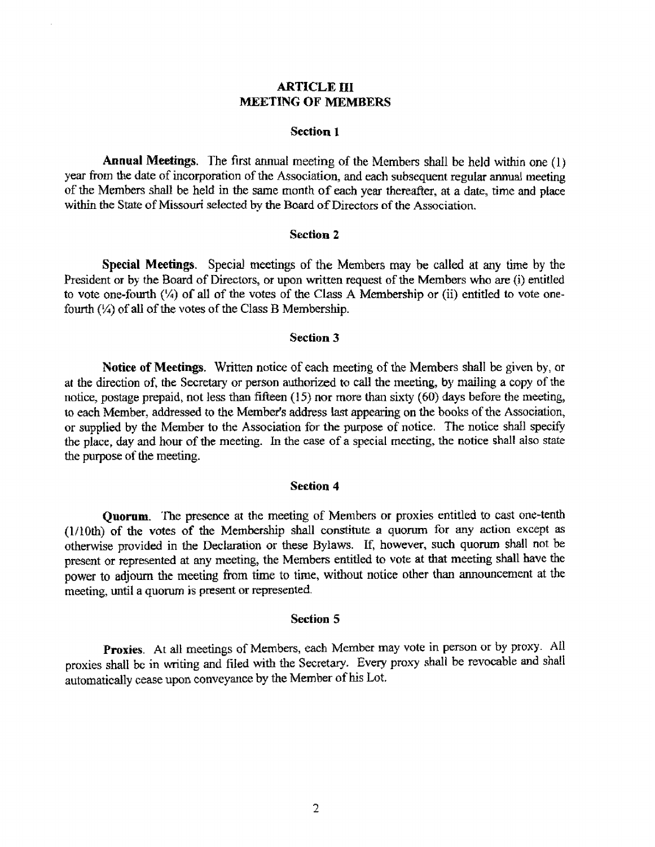# **ARTICLE III MEETING OF MEMBERS**

### **Section 1**

**Annual Meetings.** 'The **first annual** meeting **of the** Members shall be held wihn **one** (I) year from the **date** of incorporation of the **Association, and** each **subsequent** regular **annual** meeting of **the Members shall** be **held** in the **same** month **of** each **year** thereafter, at **a date,** time **and place within the State** of **Missouri selected** by *the* Board **of Directors of the Association.** 

#### **Section 2**

**Special Meetings.** Special **meetings** of the Members **may** be called **at my** he by the President **or by** the **Board** of Directors, or **upon** written **request of the** Members who **are (i) entitled to vote one-fourth** ('h) **of** all of **the** votes of **the Class A** Membership or (ii) **entitled to** vote onefourth ('/) **of** ali of the **votes** of the Class B Membership.

#### **Section 3**

**Notice of Meetings.** Written **notice** of each meeting of the **Members** shalI be **given** by, or **at the** direction of, **the Secretary** or **persun authorized to call** the meeting, **by** mailing **a copy** of **the**  notice, **postage** prepaid, **not** less than fifteen **(1** *5)* **nor** more than sixty *(60)* **days before** the meeting, **to** each **Member, addressed to the Member's address last appearing on** the **books of** the Association, **or supplied** by **the Member to** the **Association** for **the** purpose **of** notice. **The notice** shall **specify the** place, **&y and how of the** meeting. **In the** case **of** a **special meeting,** the **notice shall** also state the **purpose of** the **meeting.** 

#### **Section 4**

**Quorum.** The **presence at the** meeting of Members **or** proxies **entitled** to **cast** one-tenth **(l/lOth) of the votes** of the **Membership** shall **constitute a quorum for any action except** as otherwise **provided** in **the Declaration or these Bylaws.** If, however, **such quom** shall not be present or **represented** at any meeting, **the** Members entitled **to vote** at **that** meeting shall **have the power to adjourn** the **meeting** from time to **time,** without **notice other than** mouncement at **the meeting,** until **a quorum** is present **or** represented.

#### **Section 5**

**Proxies. At** all meetings of hdrmbers, each Member may **vote** in person or **by proxy.** A11 proxies **shall be** in **writing** and **filed** with the **Secretaq.** Every **pmxy shall be** revocable and shall automatically cease upon **conveyance** by the Member of his Lot.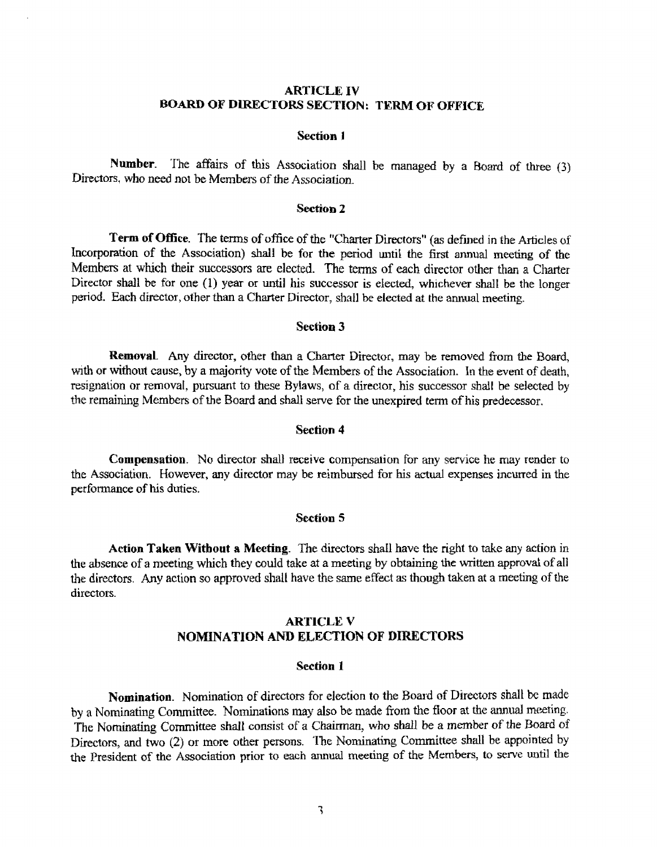# **ARTICLE XV BOARD OF DLRECTORS SECTION: TERM OF OPFiCE**

### **Section <sup>1</sup>**

Number. The affairs of this Association shall be managed by a Board of three (3) Directors, who need not be Members of the Association.

### **Section 2**

**Term of Office.** The terms of office of the "Charter Directors" (as defined in the Articles of incorporation of **the Association) shall be for the period until** the **first** annual **meeting of** the Members at which **their successors** are elected. The terms of each director other than a Charter Director **shall** he for **one** (1) **year** or until **his successor is elected, whichever shall** be *the* longer **period.** Each director, other than a Charter Director, shall be elected at the annual meeting.

#### **Section 3**

**Removal** Any director, other than a Charter Director, may be removed from the Board, with **or** without **cause,** by **a majority** vote **of** the Members of the **Association. In** the event **of** death, resignalion or removal, **pursuant** to these **Bylaws,** of a director, his successor **shall be selected by**  the remaining Members of the Board and shall serve for the **unexpired** term **of** his predecessor.

#### **Section 4**

**Compensation.** No **director shall receive** conrpensatjon for **my** service **he may render** to the **Association.** However, **any director** may be reimbursed for **his** actual **expenses** incurred **in** the **performance of his duties.** 

#### **Section 5**

**Action Taken Without a Meeting.** The **directors** shdl have the right to **take any action** in **the absence** of **a** meeting **which they** could **take at a** meeting by **obtaining** ~e written **approval of a11**  the directors. **Any** action so approved shall **have** the **same** effect as **though** taken **at a** meeting **of the**  directors.

# **ARTICLE V NOMINATION AND ELECTION OF DIRECTORS**

#### **Section 1**

**Nomination.** Nomination of **directors** for **election to** *the* Board **of** Directors shall **bc** made **by a** Nominating Committee. **Nominations** may also be made from **the** floor at **the** annual meeting. The Nominating Committee **shall consist** of **a** Chairman, **who** shdl **be** a member **of** the hard of **Directors,** and two *(2)* **or** more **other persons.** 'he **Nomimting** Committee shdl be **appointed** by the President of **the Association prior to each annual** meeting **of** the **Members, to serve** until the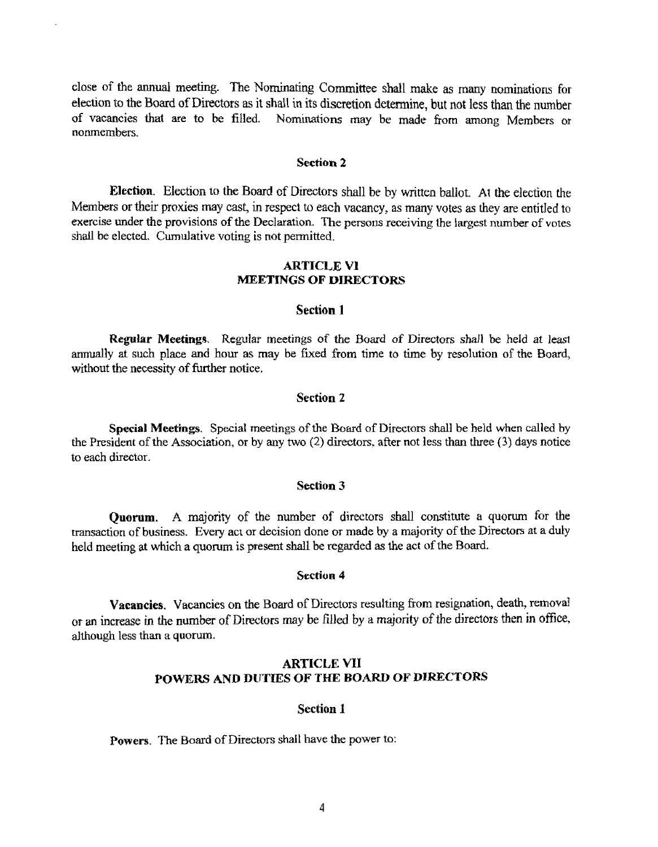close of the annual meeting. The Nominating Committee shall make as many nominations for **election to** the **Board** of Directors as it shall in its **discretion** determine, but not less than the number **of** vacancies **that are to be** filled. **Nominations** may **be made** from among **Members** or **nonmembers.** 

#### **Section 2**

**Election.** Election to the Board of Directors shall be by written ballot. At the election the Members or their proxies may cast, in respect to each vacancy, as many votes as they are entitled to **exercise under the provisions of the Declaration. The persons receiving the largest number of votes** shall be elected. Cumulative voting is not permitted.

## **ARTlCLE V1 MEETINGS OF DIRECTORS**

#### **Section 1**

**Regular Meetings.** Regular meetings **of the** Board **of Directors shall** be **held at leas1**  annually at such place and hour as may be fixed from time to time by resolution of the Board, without the necessity **of further** notice.

#### **Section 2**

**Special Meetings. Special meetings** of the Board of **Directors** shall **be held when** called by the **President** of the Association, **or** by any two (2) directors. after not less than three **(3) days** notice to each director.

#### **Section 3**

**Quorum.** A majority of the number of directors shall constitute a quorum for the transaction of **business. Every act** or decision done **or** made by **a majority** of **the Directors at a duly**  held **meeting at** which **a** quorum **is present shall** be regarded **as the act** of the Board.

#### **Section 4**

**Vacancies.** Vacancies on the **Board** of Directors resulting from resignation, death, removal **or an** increase **in** the number of **Directors may be filled by** a majority of the directors then **in** offlce, **although** less than *a* **quorum.** 

## **ARTICLE WI POWERS AND DUTIES OF THE BOARD OF DIRECTORS**

#### **Section 1**

Powers. The Board of Directors shall have the power to: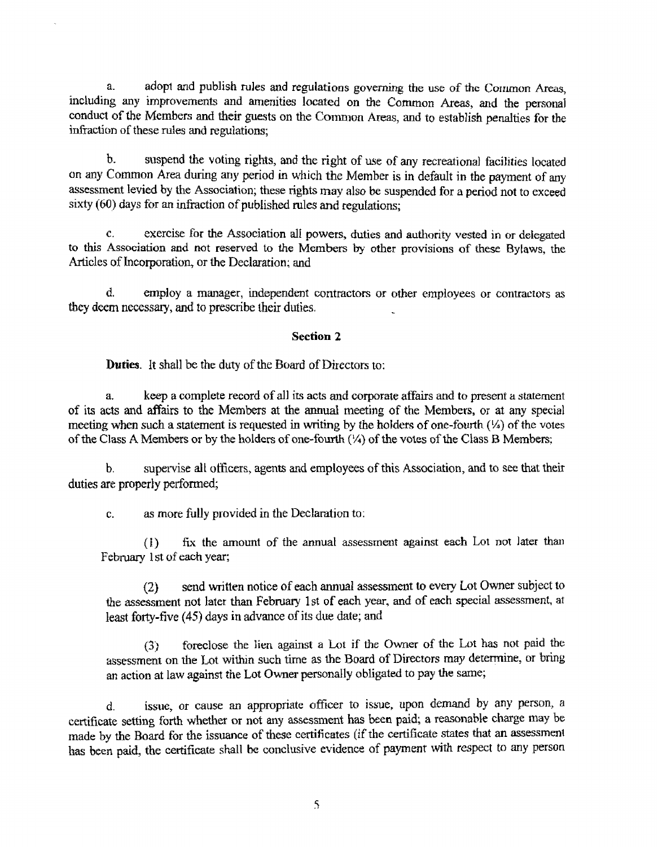a. adopt and publish rules and regulations governing the use of the Common Areas, including **any** improvements and amenities located **on** the Common Areas, **and** the personal conduct **of the Members and their guests** on **the** Com~on **Areas,** and to establish penalties **for** the infraction of **these** rules and regulations;

**b. suspend the voting rights, and the right of use of any recreational facilities located on any** Common **Area during** any **period in** which **the** Member **is** in defauk **in the** payment of any **assessment levied by** the **Association; these rights may also be suspended** for a **period** not to **exceed**  sixty (60) **days for** an infraction **of** published rules and **regulations;** 

*c,* exercise **for the Association all powers,** duties **and** autl~orlty **vested** in or delegated **to** this **Association** and not **reserved** to **the** Members **by** other **provisions of these Bylaws, the**  Articles of Incorporation, or the Declaration; and

d. **employ** a manager, **independent** contractors **or other** employees **or** contractors as they **deem** necessary, **and** to **prescribe their** duties.

#### **Section 2**

**Duties.** It shall **be** the **duty** of the **Board** of Directors to:

**a. keep a** complete record **of** all its **acts and corporate affairs** and **to** present **a** statement of its acts and affairs **to the** Members at the mud meeting **of the** Members, *or* at **any special meeting** when **such** a **statement is** requested **in** writing by **the holders** of one-fourth **(S) of** the **votes of** the Class **A** Members or by the holders of one-fourth *(5'4)* of **the** votes of **the** Class **B** Members;

b. supervise all officers, agents and employees of this Association, and to see that their duties are properly performed;

c. as more **fully provided** in the Declaration to:

**(I)** fk **the** amount of the muai assessment **against each** Lot not **later** than February 1st of each year;

(2) send **written** notice **of** each annual assessment **to every** Lot Owner subject **to**  the assessment not later than February 1st **of each yew;** and of each **special** assessment, **at**  least forty-five (45) days in advance of its due date; and

(3) foreclose the lien against a Lot if the Owner of the Lot has not paid the assessment on the Lot **withn** such time as the Board **of** Directors may determine, or **bring**  *an* **action** at **law against** *the* **Lot** Owner **personally obligated** to **pay the** same;

d. **issue,** or **cause** an **appropriate** officer **to** issue, upon demand **by any** person, a certificate setting forth whether **or not** any assessment **has** been paid; **a** reasonable charge **may** be **made by the Board for the issuance of these certificates (if the certificate states that an assessment** has ken **paid, thc certificate** shall **be** conclusive evidence af payment with respect to **any** person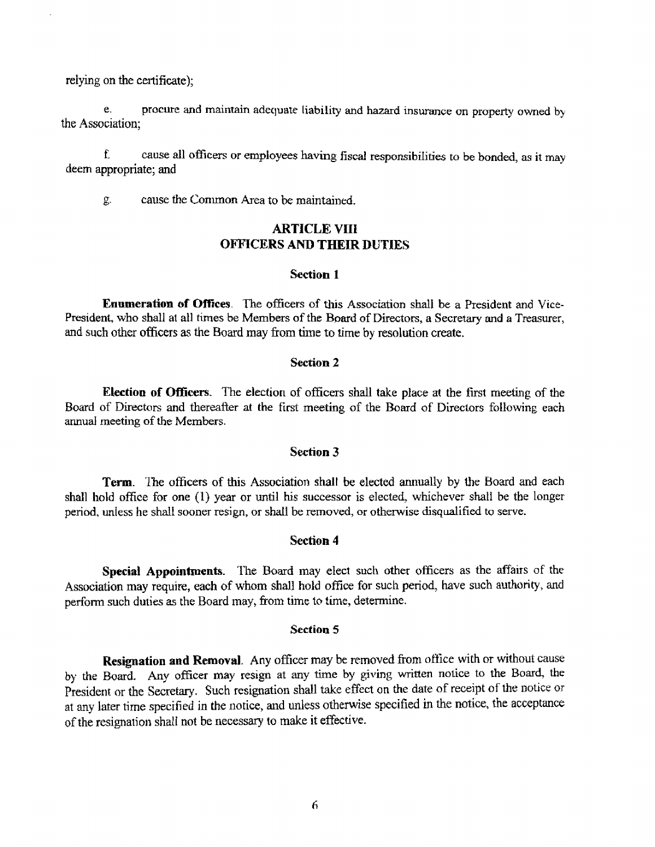relying on the certificate);

**e.** procure **and** rnairltain **adequate liability and** hazard insurance **on property** owned by the Association;

f. **cause all oficers** *or* **employees having fiscal responsibilities** to be bonded, **as** it **may**  deem **appropriate; and** 

g. cause **the** Conlrnon **Area** to **be** maintained.

# **ARTICLE VIIi OFFICERS AND THEIR DUTIES**

#### **Section 1**

**Errnmerstion of Offrces. 'The officers** of this **Association** shall **be a President** and Vice-President, **who shall at all times** be **Members** of the Board **of** Directors, **a Secretary and a Treasurer,**  and such other oficers as **the** Board may from time to time by resolution create.

#### **Section 2**

**Election of Oficers. The** election of officers **shall take** place **at** the **first** meeting of the **Board** of Directors and thereafter **at the first meeting of the Board** of Directors **following** each annual **meeting of** the **Members.** 

### **Section 3**

**Term.** *?'fie* officers of *this* **Association shalt be elected anrlmlly** by the **Board** and each shall hold office for one (1) year or until his successor is elected, whichever shall be the longer period, **unIess** he **shall sooner** resign, or shdl **be removed, or otherwise disqualified** to serve.

#### **Section 4**

**Special Appointments. The** Board **may** elect such other officers as the affairs of the **Association** may require, each of **whom** shall hold **office** for such period, have such **authority,** and perform such **duties** as the Board **may,** from time to time, determine.

## **Section 5**

**Resignation and Removal.** Any officer may be removed from office with or without cause by the **Board. Any** officer **may resign** at **any time by giving** written notice to **the 3~a~** the President or the Secretary. Such resignation shall take effect on the date of receipt of the notice or at any later time specified in the notice, and unless otherwise specified in the notice, the acceptance of the resignation shall **not be** necessary **to** make **it** effective.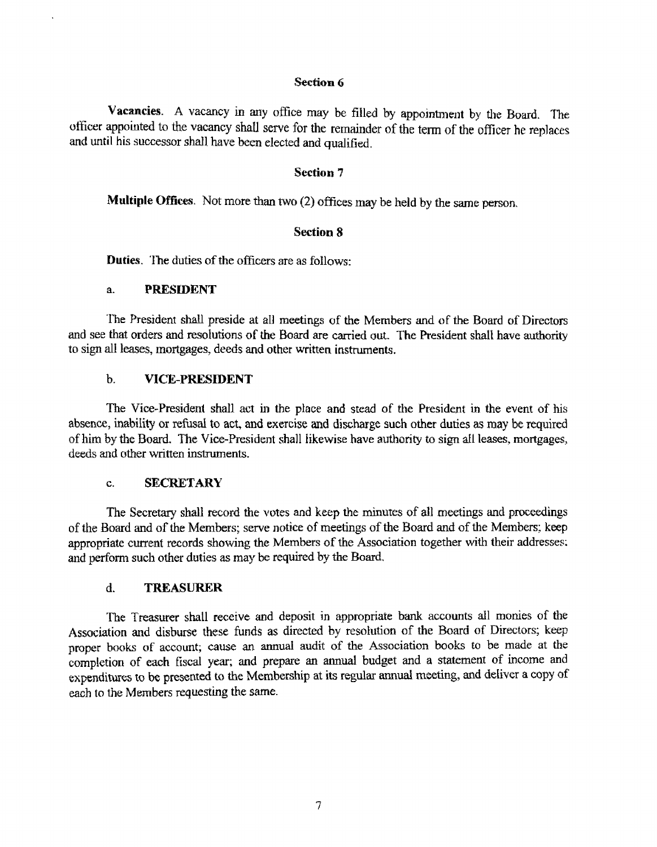### **Section 6**

Vacancies. A vacancy in any office may be filled by appointment by the Board. The uffiwr **appointed** to the vacancy shdl serve for the remainder of the term of the officer he **replaces and until** his successor shdl have been elected and qualified.

# **Section 7**

**Multiple Offices.** Not more than two (2) offices may be held by the same person.

## **Section 8**

**Duties. 'I'he duties of** the officers are **as** foilows:

#### $\mathbf{a}$ . **PRESIDENT**

'I'he President **shall preside at** a11 meetings uf **the** Members **md** of the Board of **Directors**  and see that orders and resolutions of the Board are carried out. The President shall have authority **to** sign **all** leases, **mortgages, deeds and other written** instruments.

## b. **VICE-PRESIDENT**

The Vice-President shall act in the place and stead of the President in the event of his absence, inability or refusal to act, **and exercise and discharge** such other duties as **may** be required of him **by the Board. The Vice-President shall likewise** have authority **to sign** dl **leases, mortgages,**  deeds and other written **instmments.** 

#### **SECRETARY**  $\mathbf{c}$ .

The **Secretary shall** record the **votes** and **keep** the minutes of a11 meetings md **proceedings**  of *the* Board and of the Members; serve notice of meetings of **the** Board and of **the** Members **keep appropriate** current **records showing the** Members **of** the **Association** together **with** their addresses; **and** perform such other duties **as may be** required by *the* Board.

#### $\mathbf{d}$ . **TREASURER**

**'he Treasurer shall** receive **md** deposit **in appropriate** bank accounts dl monies of **the Association** and disburse these funds as directed **hy** resolution of the Board **of** Directors; **keep proper** books of account; cause **an** annual audit of **the** Association books **to be** made **at the**  completion of **each fiscal year; and prepare** an annual budget and a statement **of** income and **expendims** to be **presented to** the **Membership** at **its** regular mud meeting, and deliver a copy of **each** to the Members requesting the same.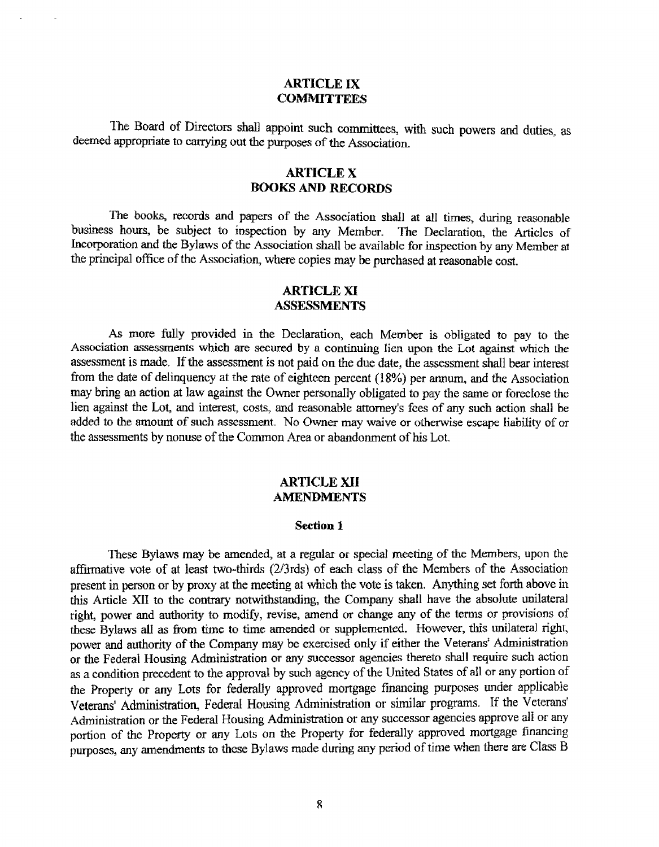## **ARTICLE IX COMMITTEES**

The Board of Directors shall appoint such committees, with such **powers and** duties as **deemed appropriate to carrying** out the **purposes** of the **Association.** 

# **ARTICLE X BOOKS AND RECORDS**

The books, records and papers of the Association shall at all times, during reasonable business **hours, be subject to** inspection by **any** Member. The Declaration, the **Articles** of **Incorporation and he** Bylaws of **the Association** shall **be available for** inspection by any Member **at**  the principal **office** of the **Association, where copies may** be **purchased** at **reasonable** cost.

# **ARTICLE XI ASSESSMENTS**

**As more** fully **provided in the** Declaration, each Member **is** obligated **to pay to** the **Association assessments which are secured by a continuing** lien **upon** the **Lot against whch the assessment** is **made. If** the assessment **is** not paid on the due date, **the** assessment **shall** bear interest from *the* date **of** delinquency **at the** rate of **eighteen** percent **(18%) per** annwn, and **the** Association may bring an action at law against the Owner personally obligated to pay the same or foreclose the lien **against** the **Lot,** and interest, costs, **and** reasonable **attorney's** *fees* of **any such** action shall be added to the amount **of such** assessment. No Owner **may** waive **or** otherwise escape liability of or **the** assessments **by** nonuse of the Common **Area** or abandonment of his Lot.

## **ARTICLE XI1 AMENDMENTS**

#### Section 1

**'I'fiese Bylaws may be amended, at a regular or special** meeting **of** the Members, upon the affirmative vote of at least two-thirds **(2/3rds)** of each class of the Members of the Association **present in person** or **by proxy at** the meeting **at which** the **vote** is **taken. Anything** set forth above in this **Article** XII **to the contrary notwithstanding,** the **Company** shall **have** *the* **absolute** unilateral **right, power** and authority **to** modify, revise, amend or **change any of** the terns **or** provisions **of these Bylaws a1 as** frum time *to* time **amended or** supplemented. However, this **unilateral right,**  power and **authority of the Company** may be **exercised only if** either **the Veteranst Administration or** the Federal Housing **Administration** or any **successor agencies** thereto **&dl require** such action as **a** condition precedent to **the approval by** such agency of the United **States** of **all** or **any** portion of the **Property or any** Lots for federally approved mortgage **fmmcing** purposes under applicable Veterans' Administration, **Federal** Housing Adminimtion or similar **programs. If** the Veterans' Administration or the **Federal** Housing **Administration** or any successor agencies approve all or **any portion** of the Property **or any** Lots **on** the **Property** for **federally approved** mortgage financing **purposes, any amendments to** these **Bylaws** made during **any** period of time when there are Class **3**